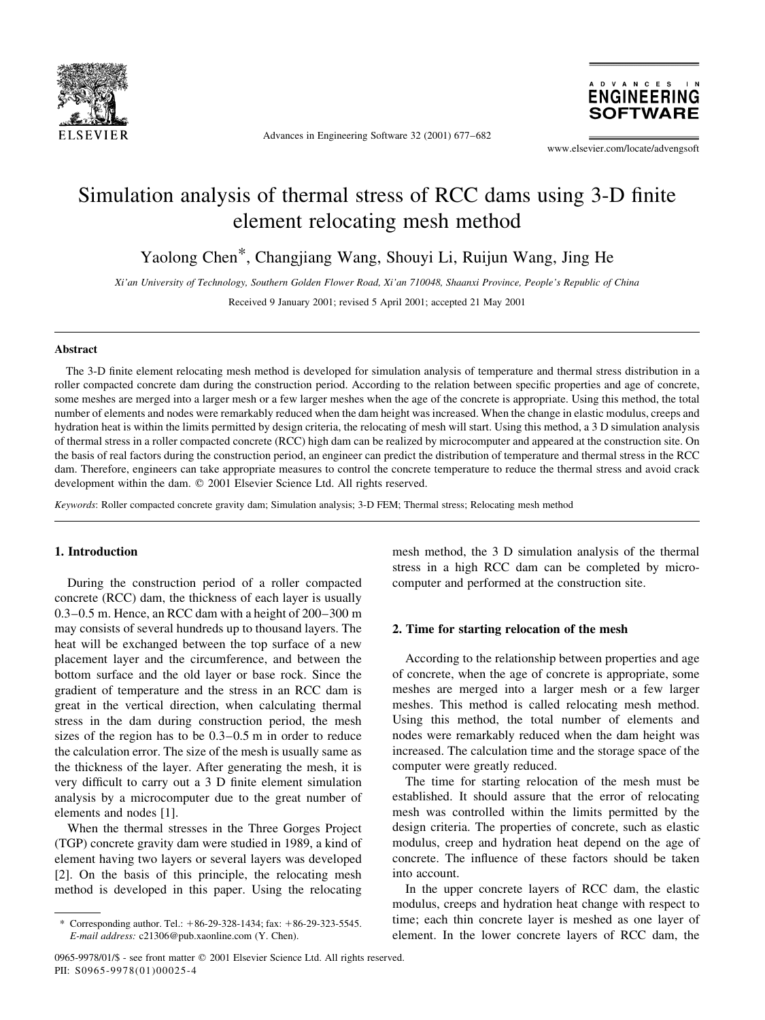

Advances in Engineering Software 32 (2001) 677–682

**DVANCES ENGINEERING SOFTWARE** 

www.elsevier.com/locate/advengsoft

# Simulation analysis of thermal stress of RCC dams using 3-D finite element relocating mesh method

Yaolong Chen\*, Changjiang Wang, Shouyi Li, Ruijun Wang, Jing He

Xi'an University of Technology, Southern Golden Flower Road, Xi'an 710048, Shaanxi Province, People's Republic of China

Received 9 January 2001; revised 5 April 2001; accepted 21 May 2001

### **Abstract**

The 3-D finite element relocating mesh method is developed for simulation analysis of temperature and thermal stress distribution in a roller compacted concrete dam during the construction period. According to the relation between specific properties and age of concrete, some meshes are merged into a larger mesh or a few larger meshes when the age of the concrete is appropriate. Using this method, the total number of elements and nodes were remarkably reduced when the dam height was increased. When the change in elastic modulus, creeps and hydration heat is within the limits permitted by design criteria, the relocating of mesh will start. Using this method, a 3 D simulation analysis of thermal stress in a roller compacted concrete (RCC) high dam can be realized by microcomputer and appeared at the construction site. On the basis of real factors during the construction period, an engineer can predict the distribution of temperature and thermal stress in the RCC dam. Therefore, engineers can take appropriate measures to control the concrete temperature to reduce the thermal stress and avoid crack development within the dam. © 2001 Elsevier Science Ltd. All rights reserved.

Keywords: Roller compacted concrete gravity dam; Simulation analysis; 3-D FEM; Thermal stress; Relocating mesh method

## 1. Introduction

During the construction period of a roller compacted concrete (RCC) dam, the thickness of each layer is usually 0.3-0.5 m. Hence, an RCC dam with a height of 200-300 m may consists of several hundreds up to thousand layers. The heat will be exchanged between the top surface of a new placement layer and the circumference, and between the bottom surface and the old layer or base rock. Since the gradient of temperature and the stress in an RCC dam is great in the vertical direction, when calculating thermal stress in the dam during construction period, the mesh sizes of the region has to be  $0.3-0.5$  m in order to reduce the calculation error. The size of the mesh is usually same as the thickness of the layer. After generating the mesh, it is very difficult to carry out a 3 D finite element simulation analysis by a microcomputer due to the great number of elements and nodes [1].

When the thermal stresses in the Three Gorges Project (TGP) concrete gravity dam were studied in 1989, a kind of element having two layers or several layers was developed [2]. On the basis of this principle, the relocating mesh method is developed in this paper. Using the relocating

mesh method, the 3 D simulation analysis of the thermal stress in a high RCC dam can be completed by microcomputer and performed at the construction site.

## 2. Time for starting relocation of the mesh

According to the relationship between properties and age of concrete, when the age of concrete is appropriate, some meshes are merged into a larger mesh or a few larger meshes. This method is called relocating mesh method. Using this method, the total number of elements and nodes were remarkably reduced when the dam height was increased. The calculation time and the storage space of the computer were greatly reduced.

The time for starting relocation of the mesh must be established. It should assure that the error of relocating mesh was controlled within the limits permitted by the design criteria. The properties of concrete, such as elastic modulus, creep and hydration heat depend on the age of concrete. The influence of these factors should be taken into account.

In the upper concrete layers of RCC dam, the elastic modulus, creeps and hydration heat change with respect to time; each thin concrete layer is meshed as one layer of element. In the lower concrete layers of RCC dam, the

Corresponding author. Tel.:  $+86-29-328-1434$ ; fax:  $+86-29-323-5545$ . E-mail address: c21306@pub.xaonline.com (Y. Chen).

<sup>0965-9978/01/\$ -</sup> see front matter © 2001 Elsevier Science Ltd. All rights reserved. PII: S0965-9978(01)00025-4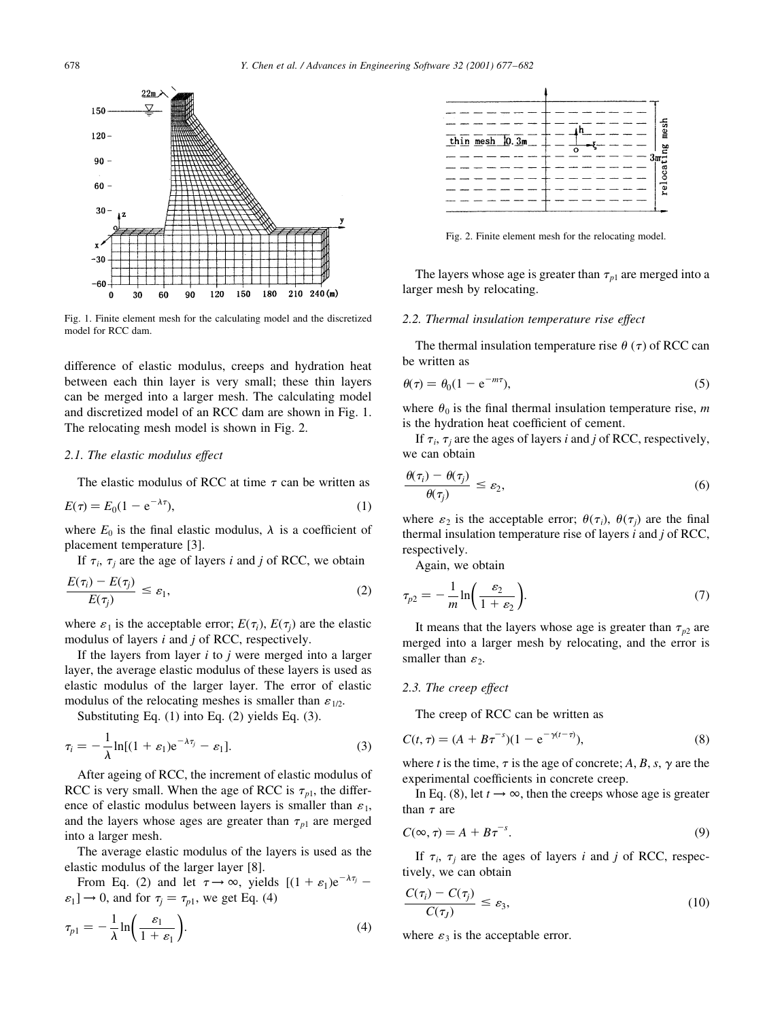

Fig. 1. Finite element mesh for the calculating model and the discretized model for RCC dam

difference of elastic modulus, creeps and hydration heat between each thin layer is very small; these thin layers can be merged into a larger mesh. The calculating model and discretized model of an RCC dam are shown in Fig. 1. The relocating mesh model is shown in Fig. 2.

## 2.1. The elastic modulus effect

The elastic modulus of RCC at time  $\tau$  can be written as

$$
E(\tau) = E_0(1 - e^{-\lambda \tau}),\tag{1}
$$

where  $E_0$  is the final elastic modulus,  $\lambda$  is a coefficient of placement temperature [3].

If  $\tau_i$ ,  $\tau_i$  are the age of layers *i* and *j* of RCC, we obtain

$$
\frac{E(\tau_i) - E(\tau_j)}{E(\tau_j)} \le \varepsilon_1,\tag{2}
$$

where  $\varepsilon_1$  is the acceptable error;  $E(\tau_i)$ ,  $E(\tau_i)$  are the elastic modulus of layers  $i$  and  $j$  of RCC, respectively.

If the layers from layer  $i$  to  $j$  were merged into a larger layer, the average elastic modulus of these layers is used as elastic modulus of the larger layer. The error of elastic modulus of the relocating meshes is smaller than  $\varepsilon_{1/2}$ .

Substituting Eq.  $(1)$  into Eq.  $(2)$  yields Eq.  $(3)$ .

$$
\tau_i = -\frac{1}{\lambda} \ln[(1+\varepsilon_1) e^{-\lambda \tau_j} - \varepsilon_1]. \tag{3}
$$

After ageing of RCC, the increment of elastic modulus of RCC is very small. When the age of RCC is  $\tau_{n}$ , the difference of elastic modulus between layers is smaller than  $\varepsilon_1$ , and the layers whose ages are greater than  $\tau_{p1}$  are merged into a larger mesh.

The average elastic modulus of the layers is used as the elastic modulus of the larger layer [8].

From Eq. (2) and let  $\tau \to \infty$ , yields  $[(1 + \varepsilon_1)e^{-\lambda \tau_j}$  –  $\varepsilon_1$   $\to$  0, and for  $\tau_i = \tau_{p1}$ , we get Eq. (4)

$$
\tau_{p1} = -\frac{1}{\lambda} \ln \left( \frac{\varepsilon_1}{1 + \varepsilon_1} \right). \tag{4}
$$



Fig. 2. Finite element mesh for the relocating model.

The layers whose age is greater than  $\tau_{p1}$  are merged into a larger mesh by relocating.

### 2.2. Thermal insulation temperature rise effect

The thermal insulation temperature rise  $\theta(\tau)$  of RCC can be written as

$$
\theta(\tau) = \theta_0 (1 - e^{-m\tau}),\tag{5}
$$

where  $\theta_0$  is the final thermal insulation temperature rise, m is the hydration heat coefficient of cement.

If  $\tau_i$ ,  $\tau_j$  are the ages of layers *i* and *j* of RCC, respectively, we can obtain

$$
\frac{\theta(\tau_i) - \theta(\tau_j)}{\theta(\tau_j)} \le \varepsilon_2,\tag{6}
$$

where  $\varepsilon_2$  is the acceptable error;  $\theta(\tau_i)$ ,  $\theta(\tau_i)$  are the final thermal insulation temperature rise of layers  $i$  and  $j$  of RCC, respectively.

Again, we obtain

$$
\tau_{p2} = -\frac{1}{m} \ln \left( \frac{\varepsilon_2}{1 + \varepsilon_2} \right). \tag{7}
$$

It means that the layers whose age is greater than  $\tau_{p2}$  are merged into a larger mesh by relocating, and the error is smaller than  $\varepsilon_2$ .

### 2.3. The creep effect

The creep of RCC can be written as

$$
C(t, \tau) = (A + B\tau^{-s})(1 - e^{-\gamma(t - \tau)}),
$$
\n(8)

where t is the time,  $\tau$  is the age of concrete; A, B, s,  $\gamma$  are the experimental coefficients in concrete creep.

In Eq. (8), let  $t \rightarrow \infty$ , then the creeps whose age is greater than  $\tau$  are

$$
C(\infty, \tau) = A + B\tau^{-s}.
$$
\n(9)

If  $\tau_i$ ,  $\tau_i$  are the ages of layers i and j of RCC, respectively, we can obtain

$$
\frac{C(\tau_i) - C(\tau_j)}{C(\tau_j)} \le \varepsilon_3,\tag{10}
$$

where  $\varepsilon_3$  is the acceptable error.